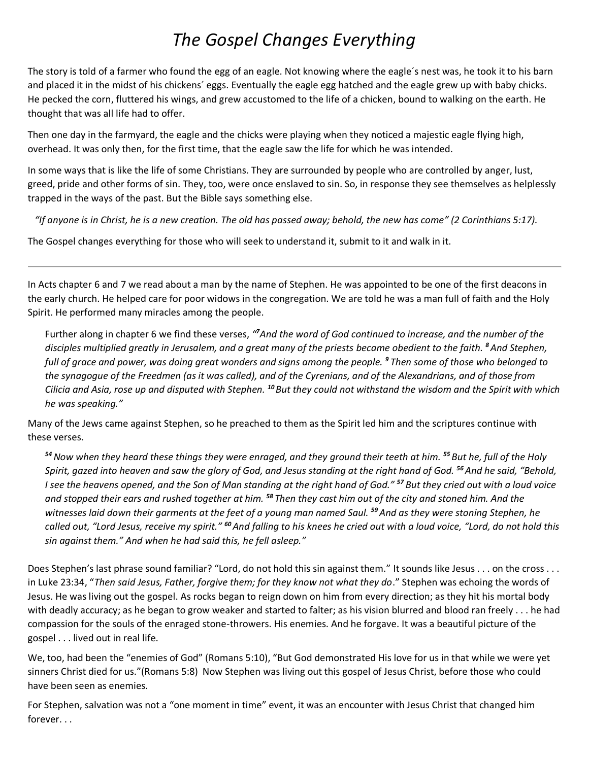## *The Gospel Changes Everything*

The story is told of a farmer who found the egg of an eagle. Not knowing where the eagle´s nest was, he took it to his barn and placed it in the midst of his chickens´ eggs. Eventually the eagle egg hatched and the eagle grew up with baby chicks. He pecked the corn, fluttered his wings, and grew accustomed to the life of a chicken, bound to walking on the earth. He thought that was all life had to offer.

Then one day in the farmyard, the eagle and the chicks were playing when they noticed a majestic eagle flying high, overhead. It was only then, for the first time, that the eagle saw the life for which he was intended.

In some ways that is like the life of some Christians. They are surrounded by people who are controlled by anger, lust, greed, pride and other forms of sin. They, too, were once enslaved to sin. So, in response they see themselves as helplessly trapped in the ways of the past. But the Bible says something else.

*"If anyone is in Christ, he is a new creation. The old has passed away; behold, the new has come" (2 Corinthians 5:17).*

The Gospel changes everything for those who will seek to understand it, submit to it and walk in it.

In Acts chapter 6 and 7 we read about a man by the name of Stephen. He was appointed to be one of the first deacons in the early church. He helped care for poor widows in the congregation. We are told he was a man full of faith and the Holy Spirit. He performed many miracles among the people.

Further along in chapter 6 we find these verses, *" <sup>7</sup>And the word of God continued to increase, and the number of the disciples multiplied greatly in Jerusalem, and a great many of the priests became obedient to the faith. <sup>8</sup>And Stephen, full of grace and power, was doing great wonders and signs among the people. <sup>9</sup> Then some of those who belonged to the synagogue of the Freedmen (as it was called), and of the Cyrenians, and of the Alexandrians, and of those from Cilicia and Asia, rose up and disputed with Stephen. <sup>10</sup>But they could not withstand the wisdom and the Spirit with which he was speaking."*

Many of the Jews came against Stephen, so he preached to them as the Spirit led him and the scriptures continue with these verses.

*<sup>54</sup>Now when they heard these things they were enraged, and they ground their teeth at him. <sup>55</sup> But he, full of the Holy Spirit, gazed into heaven and saw the glory of God, and Jesus standing at the right hand of God. <sup>56</sup>And he said, "Behold, I see the heavens opened, and the Son of Man standing at the right hand of God." <sup>57</sup> But they cried out with a loud voice and stopped their ears and rushed together at him. <sup>58</sup> Then they cast him out of the city and stoned him. And the witnesses laid down their garments at the feet of a young man named Saul. <sup>59</sup>And as they were stoning Stephen, he called out, "Lord Jesus, receive my spirit." <sup>60</sup>And falling to his knees he cried out with a loud voice, "Lord, do not hold this sin against them." And when he had said this, he fell asleep."*

Does Stephen's last phrase sound familiar? "Lord, do not hold this sin against them." It sounds like Jesus . . . on the cross . . . in Luke 23:34, "*Then said Jesus, Father, forgive them; for they know not what they do*." Stephen was echoing the words of Jesus. He was living out the gospel. As rocks began to reign down on him from every direction; as they hit his mortal body with deadly accuracy; as he began to grow weaker and started to falter; as his vision blurred and blood ran freely . . . he had compassion for the souls of the enraged stone-throwers. His enemies. And he forgave. It was a beautiful picture of the gospel . . . lived out in real life.

We, too, had been the "enemies of God" (Romans 5:10), "But God demonstrated His love for us in that while we were yet sinners Christ died for us."(Romans 5:8) Now Stephen was living out this gospel of Jesus Christ, before those who could have been seen as enemies.

For Stephen, salvation was not a "one moment in time" event, it was an encounter with Jesus Christ that changed him forever. . .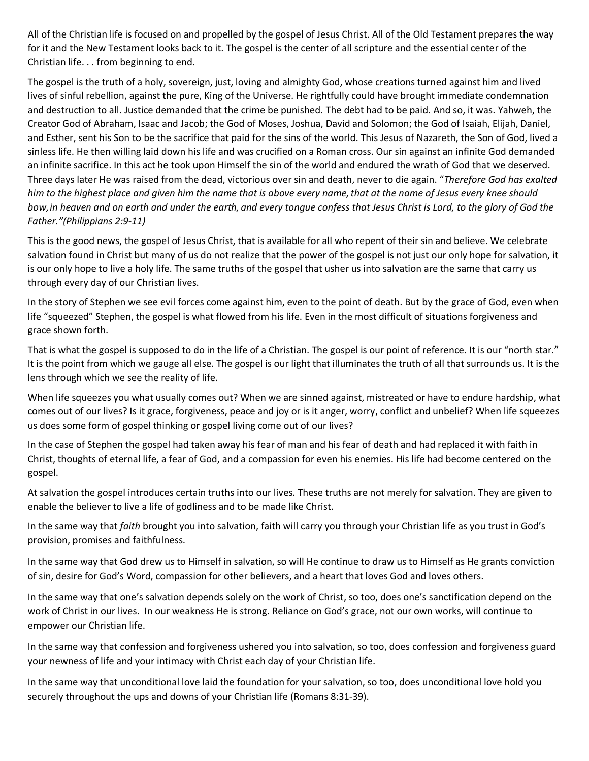All of the Christian life is focused on and propelled by the gospel of Jesus Christ. All of the Old Testament prepares the way for it and the New Testament looks back to it. The gospel is the center of all scripture and the essential center of the Christian life. . . from beginning to end.

The gospel is the truth of a holy, sovereign, just, loving and almighty God, whose creations turned against him and lived lives of sinful rebellion, against the pure, King of the Universe. He rightfully could have brought immediate condemnation and destruction to all. Justice demanded that the crime be punished. The debt had to be paid. And so, it was. Yahweh, the Creator God of Abraham, Isaac and Jacob; the God of Moses, Joshua, David and Solomon; the God of Isaiah, Elijah, Daniel, and Esther, sent his Son to be the sacrifice that paid for the sins of the world. This Jesus of Nazareth, the Son of God, lived a sinless life. He then willing laid down his life and was crucified on a Roman cross. Our sin against an infinite God demanded an infinite sacrifice. In this act he took upon Himself the sin of the world and endured the wrath of God that we deserved. Three days later He was raised from the dead, victorious over sin and death, never to die again. "*Therefore God has exalted him to the highest place and given him the name that is above every name,that at the name of Jesus every knee should bow,in heaven and on earth and under the earth, and every tongue confess that Jesus Christ is Lord, to the glory of God the Father."(Philippians 2:9-11)*

This is the good news, the gospel of Jesus Christ, that is available for all who repent of their sin and believe. We celebrate salvation found in Christ but many of us do not realize that the power of the gospel is not just our only hope for salvation, it is our only hope to live a holy life. The same truths of the gospel that usher us into salvation are the same that carry us through every day of our Christian lives.

In the story of Stephen we see evil forces come against him, even to the point of death. But by the grace of God, even when life "squeezed" Stephen, the gospel is what flowed from his life. Even in the most difficult of situations forgiveness and grace shown forth.

That is what the gospel is supposed to do in the life of a Christian. The gospel is our point of reference. It is our "north star." It is the point from which we gauge all else. The gospel is our light that illuminates the truth of all that surrounds us. It is the lens through which we see the reality of life.

When life squeezes you what usually comes out? When we are sinned against, mistreated or have to endure hardship, what comes out of our lives? Is it grace, forgiveness, peace and joy or is it anger, worry, conflict and unbelief? When life squeezes us does some form of gospel thinking or gospel living come out of our lives?

In the case of Stephen the gospel had taken away his fear of man and his fear of death and had replaced it with faith in Christ, thoughts of eternal life, a fear of God, and a compassion for even his enemies. His life had become centered on the gospel.

At salvation the gospel introduces certain truths into our lives. These truths are not merely for salvation. They are given to enable the believer to live a life of godliness and to be made like Christ.

In the same way that *faith* brought you into salvation, faith will carry you through your Christian life as you trust in God's provision, promises and faithfulness.

In the same way that God drew us to Himself in salvation, so will He continue to draw us to Himself as He grants conviction of sin, desire for God's Word, compassion for other believers, and a heart that loves God and loves others.

In the same way that one's salvation depends solely on the work of Christ, so too, does one's sanctification depend on the work of Christ in our lives. In our weakness He is strong. Reliance on God's grace, not our own works, will continue to empower our Christian life.

In the same way that confession and forgiveness ushered you into salvation, so too, does confession and forgiveness guard your newness of life and your intimacy with Christ each day of your Christian life.

In the same way that unconditional love laid the foundation for your salvation, so too, does unconditional love hold you securely throughout the ups and downs of your Christian life (Romans 8:31-39).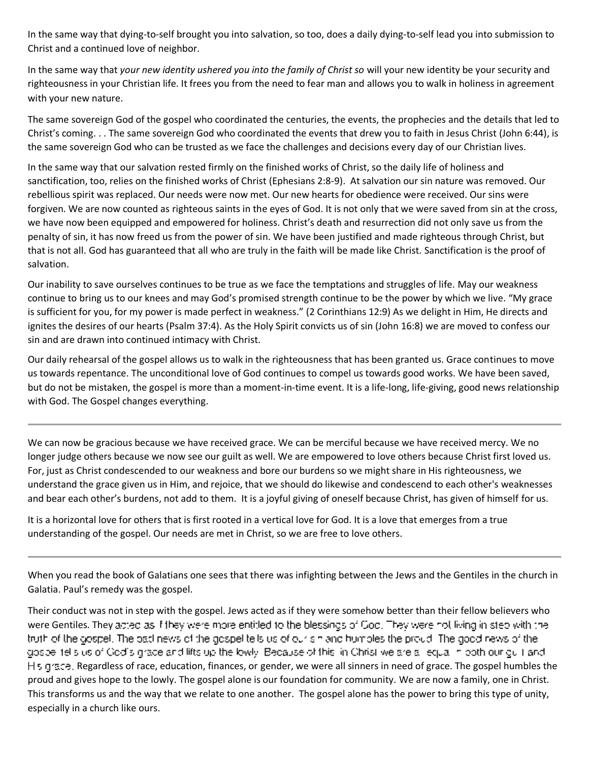In the same way that dying-to-self brought you into salvation, so too, does a daily dying-to-self lead you into submission to Christ and a continued love of neighbor.

In the same way that *your new identity ushered you into the family of Christ so* will your new identity be your security and righteousness in your Christian life. It frees you from the need to fear man and allows you to walk in holiness in agreement with your new nature.

The same sovereign God of the gospel who coordinated the centuries, the events, the prophecies and the details that led to Christ's coming. . . The same sovereign God who coordinated the events that drew you to faith in Jesus Christ (John 6:44), is the same sovereign God who can be trusted as we face the challenges and decisions every day of our Christian lives.

In the same way that our salvation rested firmly on the finished works of Christ, so the daily life of holiness and sanctification, too, relies on the finished works of Christ (Ephesians 2:8-9). At salvation our sin nature was removed. Our rebellious spirit was replaced. Our needs were now met. Our new hearts for obedience were received. Our sins were forgiven. We are now counted as righteous saints in the eyes of God. It is not only that we were saved from sin at the cross, we have now been equipped and empowered for holiness. Christ's death and resurrection did not only save us from the penalty of sin, it has now freed us from the power of sin. We have been justified and made righteous through Christ, but that is not all. God has guaranteed that all who are truly in the faith will be made like Christ. Sanctification is the proof of salvation.

Our inability to save ourselves continues to be true as we face the temptations and struggles of life. May our weakness continue to bring us to our knees and may God's promised strength continue to be the power by which we live. "My grace is sufficient for you, for my power is made perfect in weakness." (2 Corinthians 12:9) As we delight in Him, He directs and ignites the desires of our hearts (Psalm 37:4). As the Holy Spirit convicts us of sin (John 16:8) we are moved to confess our sin and are drawn into continued intimacy with Christ.

Our daily rehearsal of the gospel allows us to walk in the righteousness that has been granted us. Grace continues to move us towards repentance. The unconditional love of God continues to compel us towards good works. We have been saved, but do not be mistaken, the gospel is more than a moment-in-time event. It is a life-long, life-giving, good news relationship with God. The Gospel changes everything.

We can now be gracious because we have received grace. We can be merciful because we have received mercy. We no longer judge others because we now see our guilt as well. We are empowered to love others because Christ first loved us. For, just as Christ condescended to our weakness and bore our burdens so we might share in His righteousness, we understand the grace given us in Him, and rejoice, that we should do likewise and condescend to each other's weaknesses and bear each other's burdens, not add to them. It is a joyful giving of oneself because Christ, has given of himself for us.

It is a horizontal love for others that is first rooted in a vertical love for God. It is a love that emerges from a true understanding of the gospel. Our needs are met in Christ, so we are free to love others.

When you read the book of Galatians one sees that there was infighting between the Jews and the Gentiles in the church in Galatia. Paul's remedy was the gospel.

Their conduct was not in step with the gospel. Jews acted as if they were somehow better than their fellow believers who were Gentiles. They acted as if they were more entitled to the blessings of God. They were not living in step with the truth of the abspel. The basi news of the gospel tells us of our simand humbles the proud. The good news of the gospe 1elisius of Godis grade and lifts up the lowly. Because of this lin Christ we are all equal in poth our gull and l H<sub>2</sub> quare. Regardless of race, education, finances, or gender, we were all sinners in need of grace. The gospel humbles the proud and gives hope to the lowly. The gospel alone is our foundation for community. We are now a family, one in Christ. This transforms us and the way that we relate to one another. The gospel alone has the power to bring this type of unity, especially in a church like ours.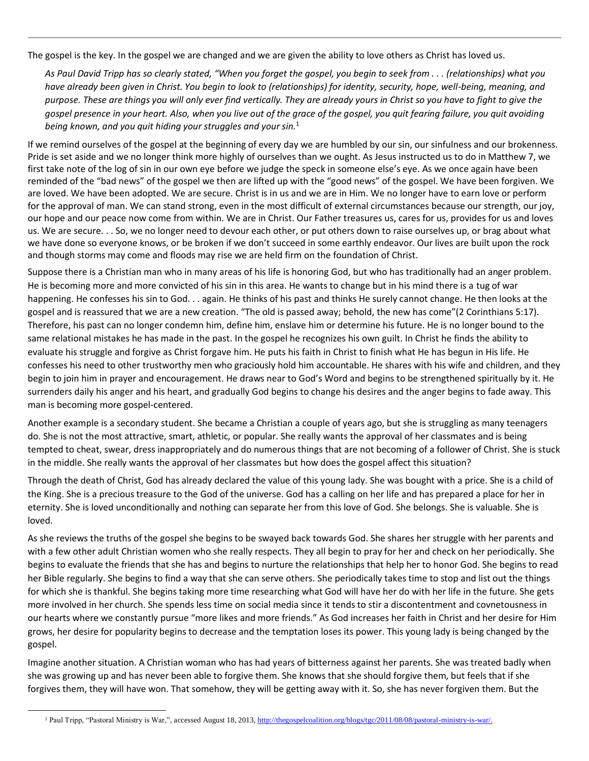The gospel is the key. In the gospel we are changed and we are given the ability to love others as Christ has loved us.

*As Paul David Tripp has so clearly stated, "When you forget the gospel, you begin to seek from . . . (relationships) what you have already been given in Christ. You begin to look to (relationships) for identity, security, hope, well-being, meaning, and purpose. These are things you will only ever find vertically. They are already yours in Christ so you have to fight to give the gospel presence in your heart. Also, when you live out of the grace of the gospel, you quit fearing failure, you quit avoiding being known, and you quit hiding your struggles and your sin.*<sup>1</sup>

If we remind ourselves of the gospel at the beginning of every day we are humbled by our sin, our sinfulness and our brokenness. Pride is set aside and we no longer think more highly of ourselves than we ought. As Jesus instructed us to do in Matthew 7, we first take note of the log of sin in our own eye before we judge the speck in someone else's eye. As we once again have been reminded of the "bad news" of the gospel we then are lifted up with the "good news" of the gospel. We have been forgiven. We are loved. We have been adopted. We are secure. Christ is in us and we are in Him. We no longer have to earn love or perform for the approval of man. We can stand strong, even in the most difficult of external circumstances because our strength, our joy, our hope and our peace now come from within. We are in Christ. Our Father treasures us, cares for us, provides for us and loves us. We are secure. . . So, we no longer need to devour each other, or put others down to raise ourselves up, or brag about what we have done so everyone knows, or be broken if we don't succeed in some earthly endeavor. Our lives are built upon the rock and though storms may come and floods may rise we are held firm on the foundation of Christ.

Suppose there is a Christian man who in many areas of his life is honoring God, but who has traditionally had an anger problem. He is becoming more and more convicted of his sin in this area. He wants to change but in his mind there is a tug of war happening. He confesses his sin to God. . . again. He thinks of his past and thinks He surely cannot change. He then looks at the gospel and is reassured that we are a new creation. "The old is passed away; behold, the new has come"(2 Corinthians 5:17). Therefore, his past can no longer condemn him, define him, enslave him or determine his future. He is no longer bound to the same relational mistakes he has made in the past. In the gospel he recognizes his own guilt. In Christ he finds the ability to evaluate his struggle and forgive as Christ forgave him. He puts his faith in Christ to finish what He has begun in His life. He confesses his need to other trustworthy men who graciously hold him accountable. He shares with his wife and children, and they begin to join him in prayer and encouragement. He draws near to God's Word and begins to be strengthened spiritually by it. He surrenders daily his anger and his heart, and gradually God begins to change his desires and the anger begins to fade away. This man is becoming more gospel-centered.

Another example is a secondary student. She became a Christian a couple of years ago, but she is struggling as many teenagers do. She is not the most attractive, smart, athletic, or popular. She really wants the approval of her classmates and is being tempted to cheat, swear, dress inappropriately and do numerous things that are not becoming of a follower of Christ. She is stuck in the middle. She really wants the approval of her classmates but how does the gospel affect this situation?

Through the death of Christ, God has already declared the value of this young lady. She was bought with a price. She is a child of the King. She is a precious treasure to the God of the universe. God has a calling on her life and has prepared a place for her in eternity. She is loved unconditionally and nothing can separate her from this love of God. She belongs. She is valuable. She is loved.

As she reviews the truths of the gospel she begins to be swayed back towards God. She shares her struggle with her parents and with a few other adult Christian women who she really respects. They all begin to pray for her and check on her periodically. She begins to evaluate the friends that she has and begins to nurture the relationships that help her to honor God. She begins to read her Bible regularly. She begins to find a way that she can serve others. She periodically takes time to stop and list out the things for which she is thankful. She begins taking more time researching what God will have her do with her life in the future. She gets more involved in her church. She spends less time on social media since it tends to stir a discontentment and covnetousness in our hearts where we constantly pursue "more likes and more friends." As God increases her faith in Christ and her desire for Him grows, her desire for popularity begins to decrease and the temptation loses its power. This young lady is being changed by the gospel.

Imagine another situation. A Christian woman who has had years of bitterness against her parents. She was treated badly when she was growing up and has never been able to forgive them. She knows that she should forgive them, but feels that if she forgives them, they will have won. That somehow, they will be getting away with it. So, she has never forgiven them. But the

 $\ddot{\phantom{a}}$ 

<sup>1</sup> Paul Tripp, "Pastoral Ministry is War,", accessed August 18, 2013, [http://thegospelcoalition.org/blogs/tgc/2011/08/08/pastoral-ministry-is-war/.](http://thegospelcoalition.org/blogs/tgc/2011/08/08/pastoral-ministry-is-war/)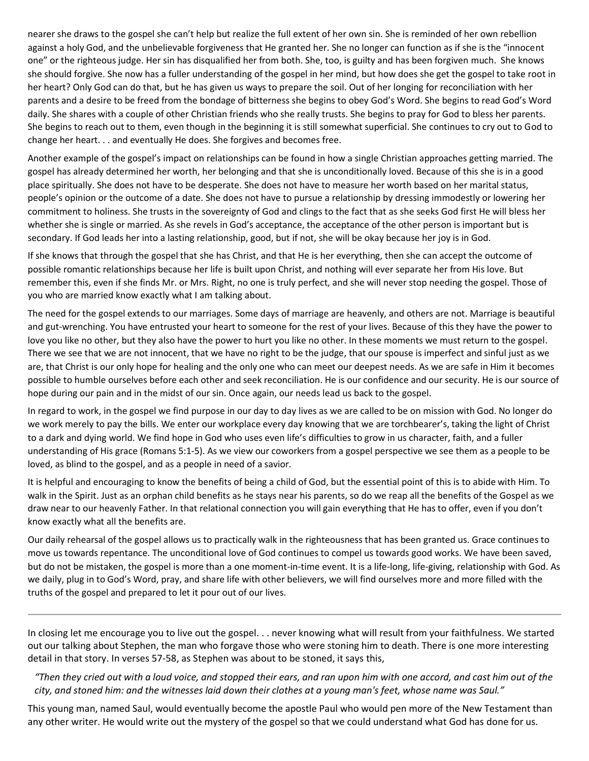nearer she draws to the gospel she can't help but realize the full extent of her own sin. She is reminded of her own rebellion against a holy God, and the unbelievable forgiveness that He granted her. She no longer can function as if she is the "innocent one" or the righteous judge. Her sin has disqualified her from both. She, too, is guilty and has been forgiven much. She knows she should forgive. She now has a fuller understanding of the gospel in her mind, but how does she get the gospel to take root in her heart? Only God can do that, but he has given us ways to prepare the soil. Out of her longing for reconciliation with her parents and a desire to be freed from the bondage of bitterness she begins to obey God's Word. She begins to read God's Word daily. She shares with a couple of other Christian friends who she really trusts. She begins to pray for God to bless her parents. She begins to reach out to them, even though in the beginning it is still somewhat superficial. She continues to cry out to God to change her heart. . . and eventually He does. She forgives and becomes free.

Another example of the gospel's impact on relationships can be found in how a single Christian approaches getting married. The gospel has already determined her worth, her belonging and that she is unconditionally loved. Because of this she is in a good place spiritually. She does not have to be desperate. She does not have to measure her worth based on her marital status, people's opinion or the outcome of a date. She does not have to pursue a relationship by dressing immodestly or lowering her commitment to holiness. She trusts in the sovereignty of God and clings to the fact that as she seeks God first He will bless her whether she is single or married. As she revels in God's acceptance, the acceptance of the other person is important but is secondary. If God leads her into a lasting relationship, good, but if not, she will be okay because her joy is in God.

If she knows that through the gospel that she has Christ, and that He is her everything, then she can accept the outcome of possible romantic relationships because her life is built upon Christ, and nothing will ever separate her from His love. But remember this, even if she finds Mr. or Mrs. Right, no one is truly perfect, and she will never stop needing the gospel. Those of you who are married know exactly what I am talking about.

The need for the gospel extends to our marriages. Some days of marriage are heavenly, and others are not. Marriage is beautiful and gut-wrenching. You have entrusted your heart to someone for the rest of your lives. Because of this they have the power to love you like no other, but they also have the power to hurt you like no other. In these moments we must return to the gospel. There we see that we are not innocent, that we have no right to be the judge, that our spouse is imperfect and sinful just as we are, that Christ is our only hope for healing and the only one who can meet our deepest needs. As we are safe in Him it becomes possible to humble ourselves before each other and seek reconciliation. He is our confidence and our security. He is our source of hope during our pain and in the midst of our sin. Once again, our needs lead us back to the gospel.

In regard to work, in the gospel we find purpose in our day to day lives as we are called to be on mission with God. No longer do we work merely to pay the bills. We enter our workplace every day knowing that we are torchbearer's, taking the light of Christ to a dark and dying world. We find hope in God who uses even life's difficulties to grow in us character, faith, and a fuller understanding of His grace (Romans 5:1-5). As we view our coworkers from a gospel perspective we see them as a people to be loved, as blind to the gospel, and as a people in need of a savior.

It is helpful and encouraging to know the benefits of being a child of God, but the essential point of this is to abide with Him. To walk in the Spirit. Just as an orphan child benefits as he stays near his parents, so do we reap all the benefits of the Gospel as we draw near to our heavenly Father. In that relational connection you will gain everything that He has to offer, even if you don't know exactly what all the benefits are.

Our daily rehearsal of the gospel allows us to practically walk in the righteousness that has been granted us. Grace continues to move us towards repentance. The unconditional love of God continues to compel us towards good works. We have been saved, but do not be mistaken, the gospel is more than a one moment-in-time event. It is a life-long, life-giving, relationship with God. As we daily, plug in to God's Word, pray, and share life with other believers, we will find ourselves more and more filled with the truths of the gospel and prepared to let it pour out of our lives.

In closing let me encourage you to live out the gospel. . . never knowing what will result from your faithfulness. We started out our talking about Stephen, the man who forgave those who were stoning him to death. There is one more interesting detail in that story. In verses 57-58, as Stephen was about to be stoned, it says this,

*"Then they cried out with a loud voice, and stopped their ears, and ran upon him with one accord, and cast him out of the city, and stoned him: and the witnesses laid down their clothes at a young man's feet, whose name was Saul."*

This young man, named Saul, would eventually become the apostle Paul who would pen more of the New Testament than any other writer. He would write out the mystery of the gospel so that we could understand what God has done for us.